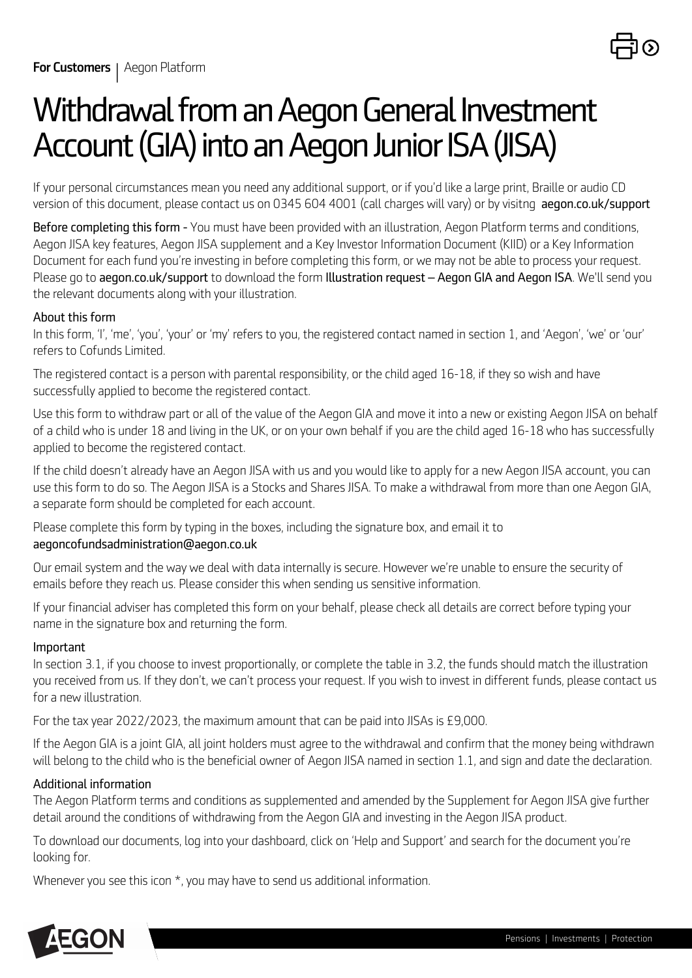

# *Withdrawal from an Aegon General Investment Account (GIA) into an Aegon Junior ISA (JISA)*

*If your personal circumstances mean you need any additional support, or if you'd like a large print, Braille or audio CD version of this document, please contact us on 0345 604 4001 (call charges will vary) or by visitng aegon.co.uk/support* 

*Before completing this form - You must have been provided with an illustration, Aegon Platform terms and conditions, Aegon JISA key features, Aegon JISA supplement and a Key Investor Information Document (KIID) or a Key Information Document for each fund you're investing in before completing this form, or we may not be able to process your request. Please go to aegon.co.uk/support to download the form Illustration request – Aegon GIA and Aegon ISA. We'll send you the relevant documents along with your illustration.*

### *About this form*

*In this form, 'I', 'me', 'you', 'your' or 'my' refers to you, the registered contact named in section 1, and 'Aegon', 'we' or 'our' refers to Cofunds Limited.* 

*The registered contact is a person with parental responsibility, or the child aged 16-18, if they so wish and have successfully applied to become the registered contact.*

*Use this form to withdraw part or all of the value of the Aegon GIA and move it into a new or existing Aegon JISA on behalf of a child who is under 18 and living in the UK, or on your own behalf if you are the child aged 16-18 who has successfully applied to become the registered contact.*

*If the child doesn't already have an Aegon JISA with us and you would like to apply for a new Aegon JISA account, you can use this form to do so. The Aegon JISA is a Stocks and Shares JISA. To make a withdrawal from more than one Aegon GIA, a separate form should be completed for each account.*

*Please complete this form by typing in the boxes, including the signature box, and email it to aegoncofundsadministration@aegon.co.uk*

*Our email system and the way we deal with data internally is secure. However we're unable to ensure the security of emails before they reach us. Please consider this when sending us sensitive information.*

*If your financial adviser has completed this form on your behalf, please check all details are correct before typing your name in the signature box and returning the form.*

#### *Important*

*In section 3.1, if you choose to invest proportionally, or complete the table in 3.2, the funds should match the illustration you received from us. If they don't, we can't process your request. If you wish to invest in different funds, please contact us for a new illustration.*

*For the tax year 2022/2023, the maximum amount that can be paid into JISAs is £9,000.*

*If the Aegon GIA is a joint GIA, all joint holders must agree to the withdrawal and confirm that the money being withdrawn will belong to the child who is the beneficial owner of Aegon JISA named in section 1.1, and sign and date the declaration.*

#### *Additional information*

*The Aegon Platform terms and conditions as supplemented and amended by the Supplement for Aegon JISA give further detail around the conditions of withdrawing from the Aegon GIA and investing in the Aegon JISA product.*

*To download our documents, log into your dashboard, click on 'Help and Support' and search for the document you're looking for.*

*Whenever you see this icon \*, you may have to send us additional information.*

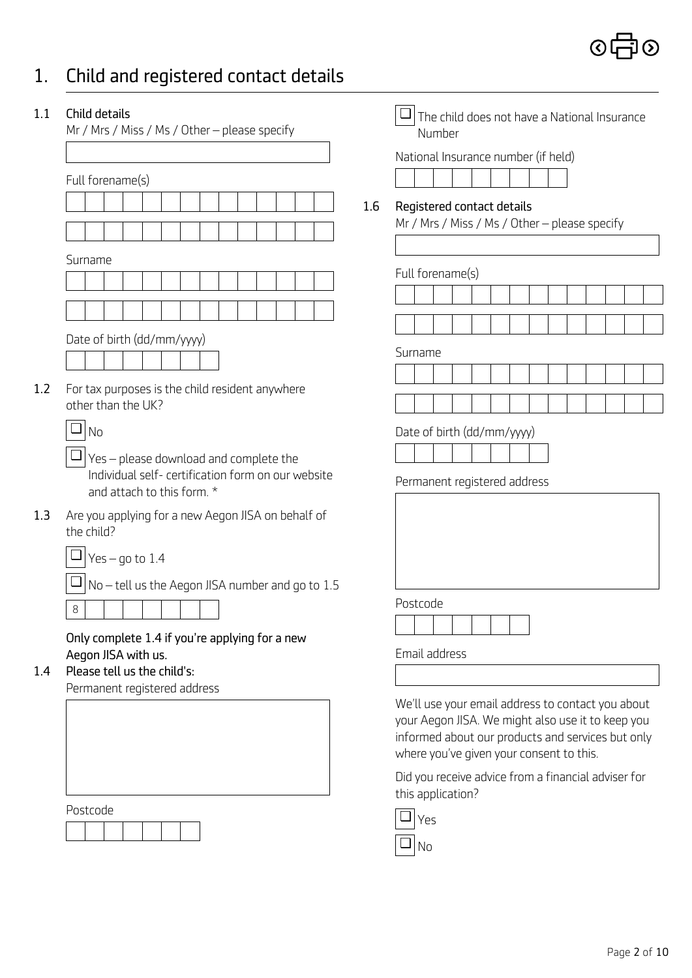## *1. Child and registered contact details*

| Full forename(s) |  |  |  |  |
|------------------|--|--|--|--|
|                  |  |  |  |  |

| 1.2 For tax purposes is the child resident anywhere |
|-----------------------------------------------------|
| other than the UK?                                  |

|  | $\Box$ $\gamma$ es – go to 1.4 |  |
|--|--------------------------------|--|
|--|--------------------------------|--|

*Postcode*

| Child details<br>Mr / Mrs / Miss / Ms / Other - please specify                                                                                 | The child does not have a National Insurance<br>Number                             |
|------------------------------------------------------------------------------------------------------------------------------------------------|------------------------------------------------------------------------------------|
| Full forename(s)                                                                                                                               | National Insurance number (if held)                                                |
|                                                                                                                                                | 1.6<br>Registered contact details<br>Mr / Mrs / Miss / Ms / Other - please specify |
| Surname                                                                                                                                        | Full forename(s)                                                                   |
|                                                                                                                                                |                                                                                    |
| Date of birth (dd/mm/yyyy)                                                                                                                     | Surname                                                                            |
| For tax purposes is the child resident anywhere<br>other than the UK?                                                                          |                                                                                    |
| $\Box$ No<br>$\Box$ Yes – please download and complete the<br>Individual self- certification form on our website<br>and attach to this form. * | Date of birth (dd/mm/yyyy)<br>Permanent registered address                         |
| Are you applying for a new Aegon JISA on behalf of<br>the child?<br>Yes $-$ go to 1.4                                                          |                                                                                    |
| $\Box$ No – tell us the Aegon JISA number and go to 1.5<br>8                                                                                   | Postcode                                                                           |
| Only complete 1.4 if you're applying for a new<br>Aegon JISA with us.<br>Please tell us the child's:<br>Permanent registered address           | Email address                                                                      |

*We'll use your email address to contact you about your Aegon JISA. We might also use it to keep you informed about our products and services but only where you've given your consent to this.* 

*Did you receive advice from a financial adviser for this application?*



*No* ❏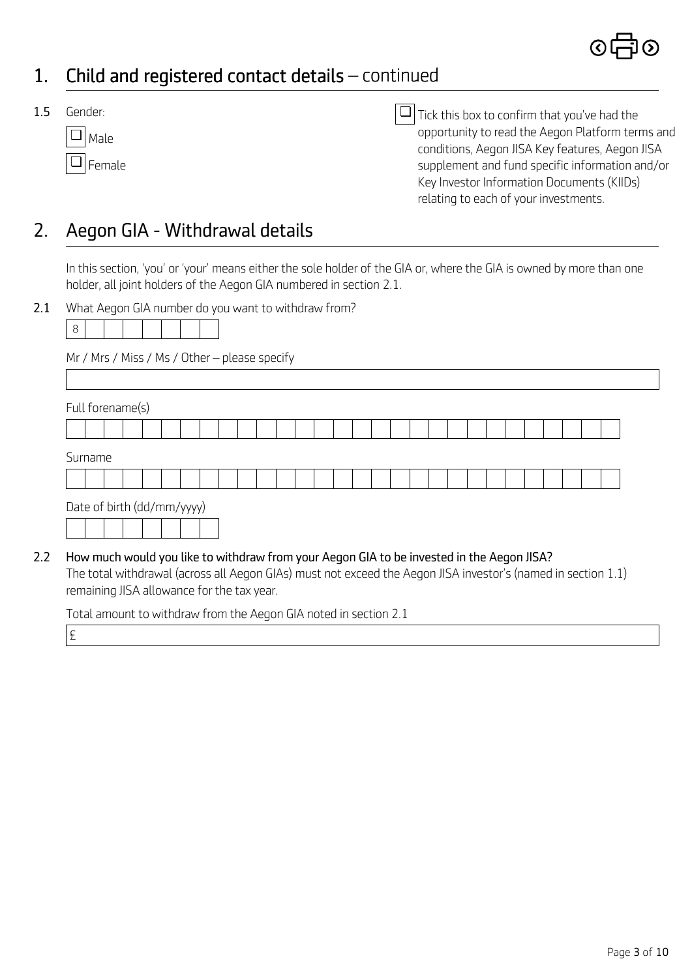### *1. Child and registered contact details – continued*

*1.5 Gender:*

| Male   |
|--------|
| Female |

*Tick this box to confirm that you've had the* ❏ *opportunity to read the Aegon Platform terms and conditions, Aegon JISA Key features, Aegon JISA supplement and fund specific information and/or Key Investor Information Documents (KIIDs) relating to each of your investments.*

### *2. Aegon GIA - Withdrawal details*

*In this section, 'you' or 'your' means either the sole holder of the GIA or, where the GIA is owned by more than one holder, all joint holders of the Aegon GIA numbered in section 2.1.*

*2.1 What Aegon GIA number do you want to withdraw from?*

|--|--|--|--|--|--|--|--|

*Mr / Mrs / Miss / Ms / Other – please specify*

| Surname |                            |  |  |  |  |  |  |  |  |  |  |  |  |  |
|---------|----------------------------|--|--|--|--|--|--|--|--|--|--|--|--|--|
|         |                            |  |  |  |  |  |  |  |  |  |  |  |  |  |
|         | Date of birth (dd/mm/yyyy) |  |  |  |  |  |  |  |  |  |  |  |  |  |
|         |                            |  |  |  |  |  |  |  |  |  |  |  |  |  |

*The total withdrawal (across all Aegon GIAs) must not exceed the Aegon JISA investor's (named in section 1.1) remaining JISA allowance for the tax year.*

*Total amount to withdraw from the Aegon GIA noted in section 2.1*

*£*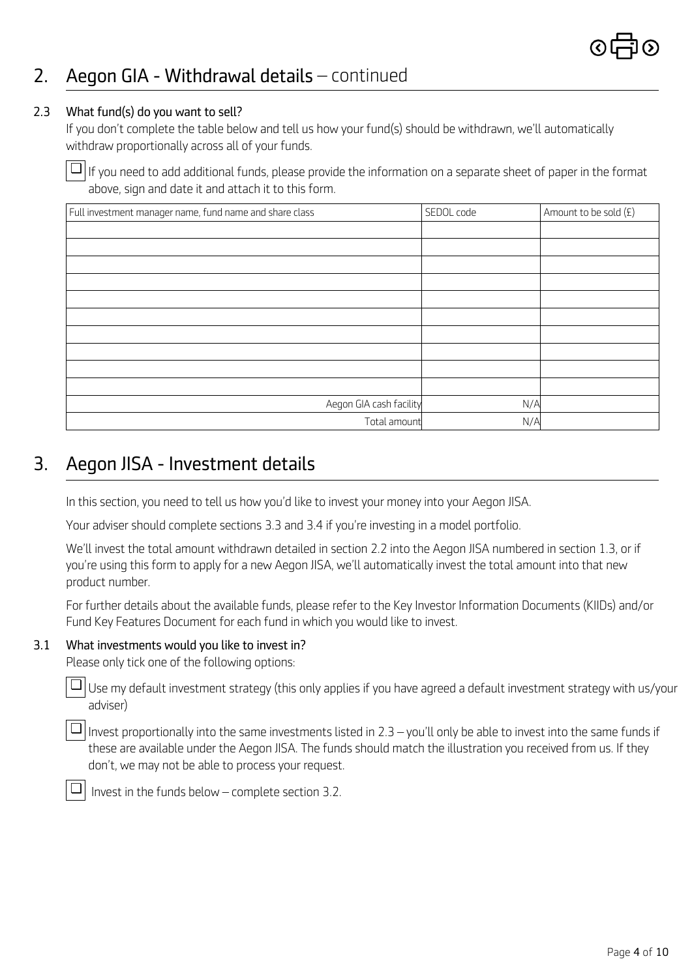### *2. Aegon GIA - Withdrawal details – continued*

#### *2.3 What fund(s) do you want to sell?*

*If you don't complete the table below and tell us how your fund(s) should be withdrawn, we'll automatically withdraw proportionally across all of your funds.*

*If you need to add additional funds, please provide the information on a separate sheet of paper in the format* ❏ *above, sign and date it and attach it to this form.* 

| Full investment manager name, fund name and share class | SEDOL code | Amount to be sold (£) |
|---------------------------------------------------------|------------|-----------------------|
|                                                         |            |                       |
|                                                         |            |                       |
|                                                         |            |                       |
|                                                         |            |                       |
|                                                         |            |                       |
|                                                         |            |                       |
|                                                         |            |                       |
|                                                         |            |                       |
|                                                         |            |                       |
|                                                         |            |                       |
| Aegon GIA cash facility                                 | N/A        |                       |
| Total amount                                            | N/A        |                       |

### *3. Aegon JISA - Investment details*

*In this section, you need to tell us how you'd like to invest your money into your Aegon JISA.* 

*Your adviser should complete sections 3.3 and 3.4 if you're investing in a model portfolio.*

*We'll invest the total amount withdrawn detailed in section 2.2 into the Aegon JISA numbered in section 1.3, or if you're using this form to apply for a new Aegon JISA, we'll automatically invest the total amount into that new product number.*

*For further details about the available funds, please refer to the Key Investor Information Documents (KIIDs) and/or Fund Key Features Document for each fund in which you would like to invest.*

#### *3.1 What investments would you like to invest in?*

*Please only tick one of the following options:*

*Use my default investment strategy (this only applies if you have agreed a default investment strategy with us/your adviser)* 

*Invest proportionally into the same investments listed in 2.3 – you'll only be able to invest into the same funds if* ❏ *these are available under the Aegon JISA. The funds should match the illustration you received from us. If they don't, we may not be able to process your request.*



❏

 *Invest in the funds below – complete section 3.2.*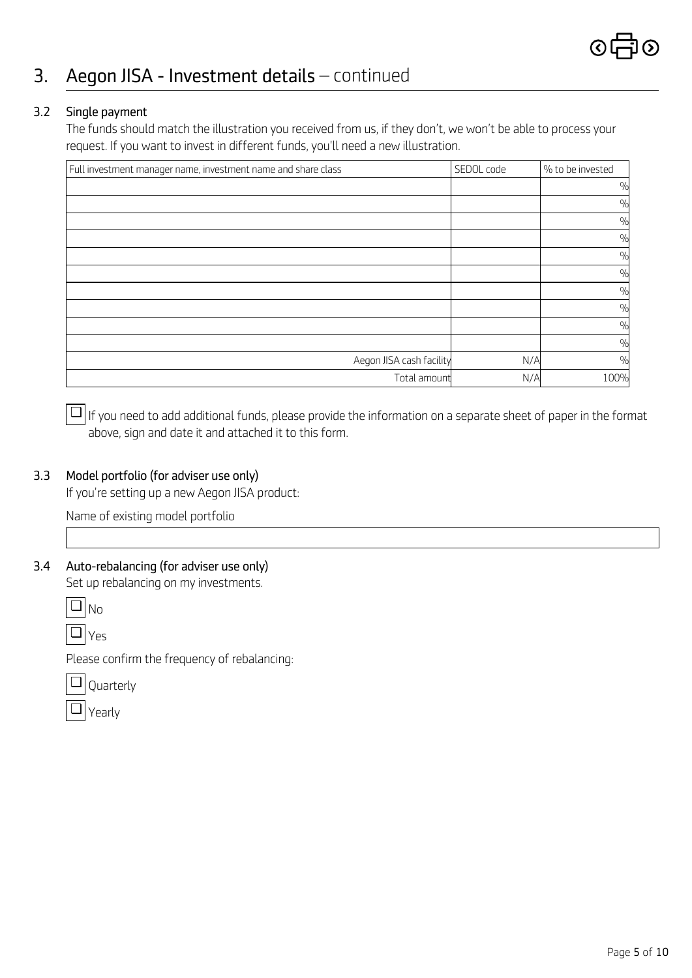### *3. Aegon JISA - Investment details – continued*

#### *3.2 Single payment*

*The funds should match the illustration you received from us, if they don't, we won't be able to process your request. If you want to invest in different funds, you'll need a new illustration.*

| Full investment manager name, investment name and share class | SEDOL code | % to be invested |
|---------------------------------------------------------------|------------|------------------|
|                                                               |            | $\frac{0}{0}$    |
|                                                               |            | $\frac{0}{0}$    |
|                                                               |            | $\frac{0}{0}$    |
|                                                               |            | $\frac{0}{0}$    |
|                                                               |            | $\frac{0}{0}$    |
|                                                               |            | $\frac{0}{0}$    |
|                                                               |            | $\frac{0}{0}$    |
|                                                               |            | $\frac{0}{0}$    |
|                                                               |            | $\frac{0}{0}$    |
|                                                               |            | $\frac{0}{0}$    |
| Aegon JISA cash facility                                      | N/A        | $\frac{0}{0}$    |
| Total amount                                                  | N/A        | 100%             |

*If you need to add additional funds, please provide the information on a separate sheet of paper in the format* ❏ *above, sign and date it and attached it to this form.* 

#### *3.3 Model portfolio (for adviser use only)*

*If you're setting up a new Aegon JISA product:*

*Name of existing model portfolio*

#### *3.4 Auto-rebalancing (for adviser use only)*

*Set up rebalancing on my investments.*

*No* ❏

*Yes* ❏

*Please confirm the frequency of rebalancing:*

*Quarterly*  ❏

| ┍ |
|---|
|---|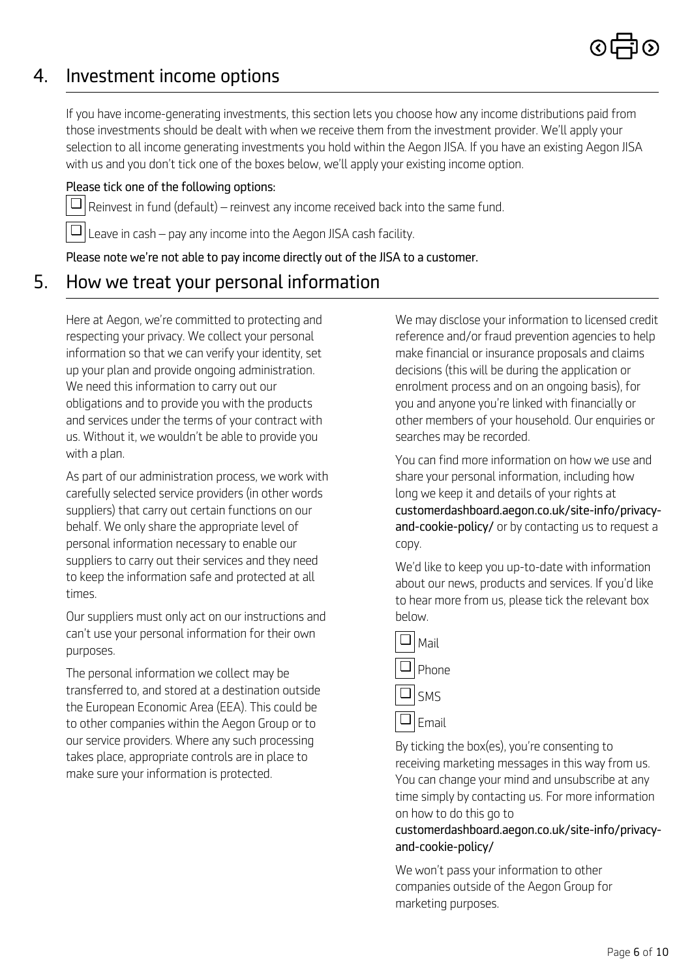### *4. Investment income options*

*If you have income-generating investments, this section lets you choose how any income distributions paid from those investments should be dealt with when we receive them from the investment provider. We'll apply your selection to all income generating investments you hold within the Aegon JISA. If you have an existing Aegon JISA with us and you don't tick one of the boxes below, we'll apply your existing income option.*

### *Please tick one of the following options:*

 $\Box$   $\vert$  Reinvest in fund (default) – reinvest any income received back into the same fund.

 $\Box$   $\Box$  Leave in cash – pay any income into the Aegon JISA cash facility.

*Please note we're not able to pay income directly out of the JISA to a customer.*

### *5. How we treat your personal information*

*Here at Aegon, we're committed to protecting and respecting your privacy. We collect your personal information so that we can verify your identity, set up your plan and provide ongoing administration. We need this information to carry out our obligations and to provide you with the products and services under the terms of your contract with us. Without it, we wouldn't be able to provide you with a plan.*

*As part of our administration process, we work with carefully selected service providers (in other words suppliers) that carry out certain functions on our behalf. We only share the appropriate level of personal information necessary to enable our suppliers to carry out their services and they need to keep the information safe and protected at all times.*

*Our suppliers must only act on our instructions and can't use your personal information for their own purposes.*

*The personal information we collect may be transferred to, and stored at a destination outside the European Economic Area (EEA). This could be to other companies within the Aegon Group or to our service providers. Where any such processing takes place, appropriate controls are in place to make sure your information is protected.*

*We may disclose your information to licensed credit reference and/or fraud prevention agencies to help make financial or insurance proposals and claims decisions (this will be during the application or enrolment process and on an ongoing basis), for you and anyone you're linked with financially or other members of your household. Our enquiries or searches may be recorded.* 

*You can find more information on how we use and share your personal information, including how long we keep it and details of your rights at customerdashboard.aegon.co.uk/site-info/privacyand-cookie-policy/ or by contacting us to request a copy.*

*We'd like to keep you up-to-date with information about our news, products and services. If you'd like to hear more from us, please tick the relevant box below.*



*By ticking the box(es), you're consenting to receiving marketing messages in this way from us. You can change your mind and unsubscribe at any time simply by contacting us. For more information on how to do this go to* 

#### *customerdashboard.aegon.co.uk/site-info/privacyand-cookie-policy/*

*We won't pass your information to other companies outside of the Aegon Group for marketing purposes.*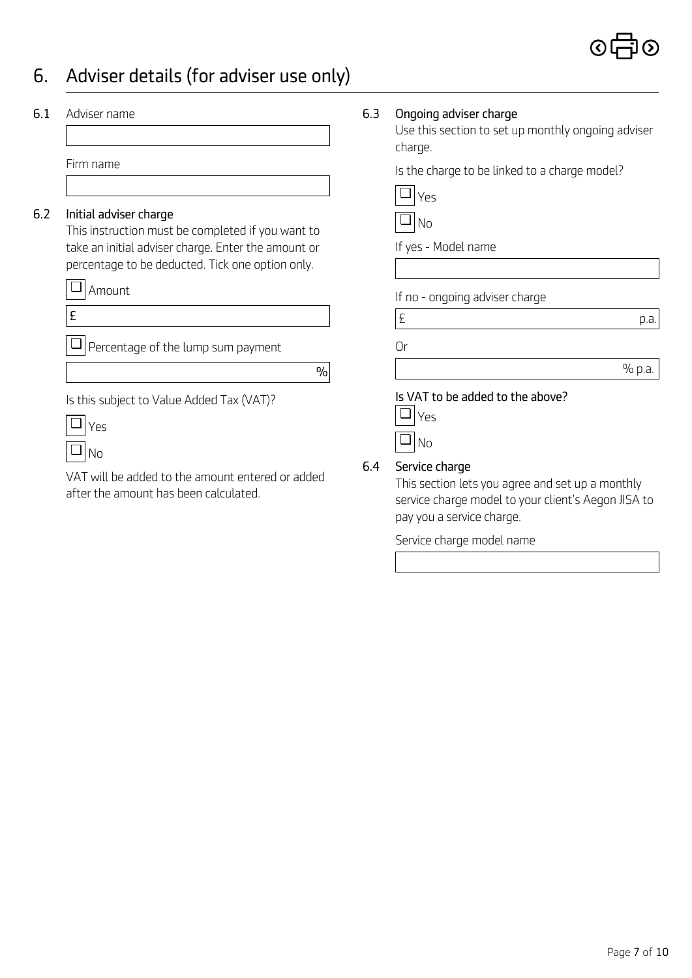## *6. Adviser details (for adviser use only)*

| 6.1 | Adviser name                                                                                                                                                                           | 6.3 | Ongoing adviser charge<br>Use this section to set up monthly ongoing adviser<br>charge.                                  |
|-----|----------------------------------------------------------------------------------------------------------------------------------------------------------------------------------------|-----|--------------------------------------------------------------------------------------------------------------------------|
|     | Firm name                                                                                                                                                                              |     | Is the charge to be linked to a charge model?                                                                            |
| 6.2 | Initial adviser charge<br>This instruction must be completed if you want to<br>take an initial adviser charge. Enter the amount or<br>percentage to be deducted. Tick one option only. |     | Yes<br>No<br>If yes - Model name                                                                                         |
|     | Amount<br>£                                                                                                                                                                            |     | If no - ongoing adviser charge                                                                                           |
|     | Percentage of the lump sum payment                                                                                                                                                     |     | £<br>p.a.<br>0r                                                                                                          |
|     | $\%$                                                                                                                                                                                   |     | % p.a.                                                                                                                   |
|     | Is this subject to Value Added Tax (VAT)?<br>Yes<br>No<br>VAT will be added to the amount entered or added                                                                             | 6.4 | Is VAT to be added to the above?<br>Yes<br>❏<br>No<br>Service charge<br>This section lets you agree and set up a monthly |
|     | after the amount has been calculated.                                                                                                                                                  |     | service charge model to your client's Aegon JISA to<br>pay you a service charge.                                         |

*Service charge model name*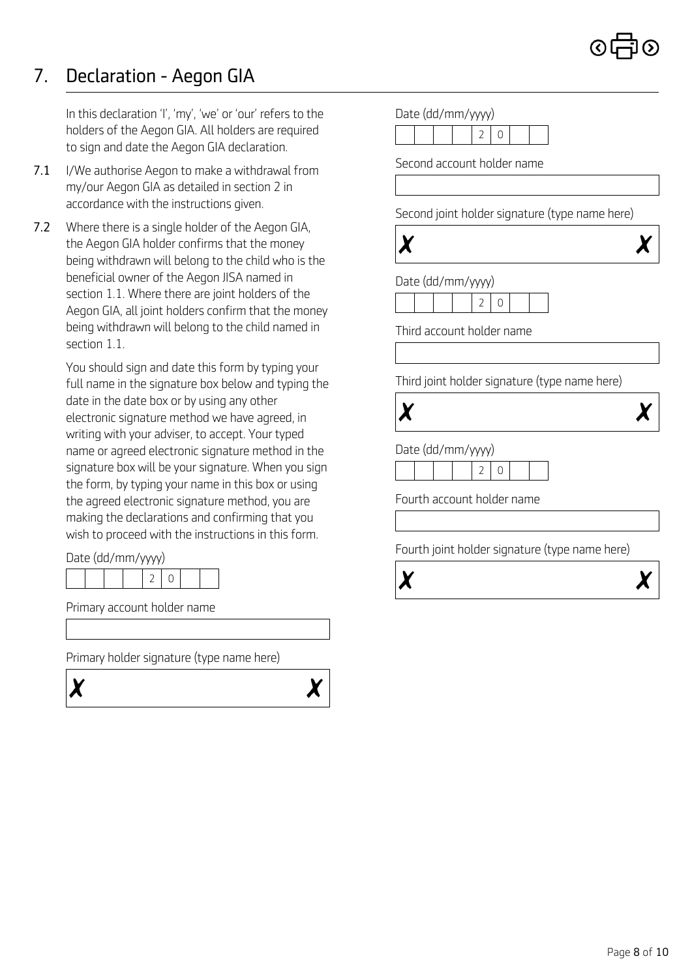## *7. Declaration - Aegon GIA*

*In this declaration 'I', 'my', 'we' or 'our' refers to the holders of the Aegon GIA. All holders are required to sign and date the Aegon GIA declaration.*

- *7.1 I/We authorise Aegon to make a withdrawal from my/our Aegon GIA as detailed in section 2 in accordance with the instructions given.*
- *7.2 Where there is a single holder of the Aegon GIA, the Aegon GIA holder confirms that the money being withdrawn will belong to the child who is the beneficial owner of the Aegon JISA named in section 1.1. Where there are joint holders of the Aegon GIA, all joint holders confirm that the money being withdrawn will belong to the child named in section 1.1.*

*You should sign and date this form by typing your full name in the signature box below and typing the date in the date box or by using any other electronic signature method we have agreed, in writing with your adviser, to accept. Your typed name or agreed electronic signature method in the signature box will be your signature. When you sign the form, by typing your name in this box or using the agreed electronic signature method, you are making the declarations and confirming that you wish to proceed with the instructions in this form.*

*Date (dd/mm/yyyy)*

*Primary account holder name*

*Primary holder signature (type name here)*





| Second account holder name                                                                                                    |  |                |   |  |  |  |
|-------------------------------------------------------------------------------------------------------------------------------|--|----------------|---|--|--|--|
|                                                                                                                               |  |                |   |  |  |  |
|                                                                                                                               |  |                |   |  |  |  |
| Second joint holder signature (type name here)                                                                                |  |                |   |  |  |  |
|                                                                                                                               |  |                |   |  |  |  |
|                                                                                                                               |  |                |   |  |  |  |
| Date (dd/mm/yyyy)                                                                                                             |  |                |   |  |  |  |
|                                                                                                                               |  | 2              | 0 |  |  |  |
|                                                                                                                               |  |                |   |  |  |  |
|                                                                                                                               |  |                |   |  |  |  |
|                                                                                                                               |  |                |   |  |  |  |
|                                                                                                                               |  |                |   |  |  |  |
|                                                                                                                               |  |                |   |  |  |  |
|                                                                                                                               |  |                |   |  |  |  |
|                                                                                                                               |  |                |   |  |  |  |
|                                                                                                                               |  |                |   |  |  |  |
|                                                                                                                               |  | $\overline{2}$ | 0 |  |  |  |
| Third account holder name<br>Third joint holder signature (type name here)<br>Date (dd/mm/yyyy)<br>Fourth account holder name |  |                |   |  |  |  |
|                                                                                                                               |  |                |   |  |  |  |
|                                                                                                                               |  |                |   |  |  |  |
| Fourth joint holder signature (type name here)                                                                                |  |                |   |  |  |  |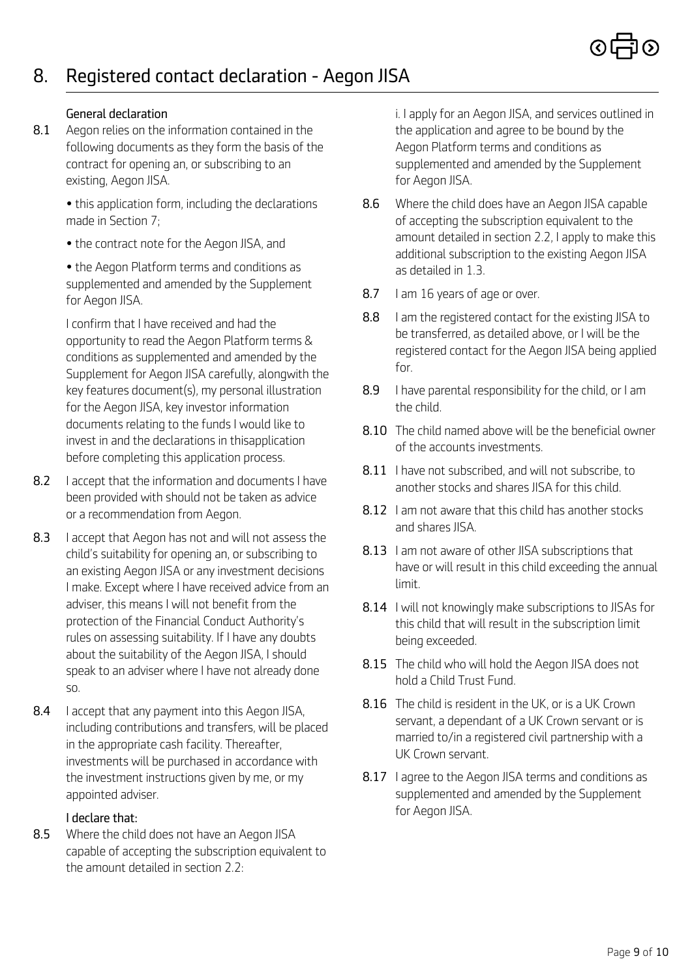*8.1 Aegon relies on the information contained in the following documents as they form the basis of the contract for opening an, or subscribing to an existing, Aegon JISA.*

> *• this application form, including the declarations made in Section 7;*

*• the contract note for the Aegon JISA, and*

*• the Aegon Platform terms and conditions as supplemented and amended by the Supplement for Aegon JISA.*

*I confirm that I have received and had the opportunity to read the Aegon Platform terms & conditions as supplemented and amended by the Supplement for Aegon JISA carefully, alongwith the key features document(s), my personal illustration for the Aegon JISA, key investor information documents relating to the funds I would like to invest in and the declarations in thisapplication before completing this application process.*

- *8.2 I accept that the information and documents I have been provided with should not be taken as advice or a recommendation from Aegon.*
- *8.3 I accept that Aegon has not and will not assess the child's suitability for opening an, or subscribing to an existing Aegon JISA or any investment decisions I make. Except where I have received advice from an adviser, this means I will not benefit from the protection of the Financial Conduct Authority's rules on assessing suitability. If I have any doubts about the suitability of the Aegon JISA, I should speak to an adviser where I have not already done so.*
- *8.4 I accept that any payment into this Aegon JISA, including contributions and transfers, will be placed in the appropriate cash facility. Thereafter, investments will be purchased in accordance with the investment instructions given by me, or my appointed adviser.*

#### *I declare that:*

*8.5 Where the child does not have an Aegon JISA capable of accepting the subscription equivalent to the amount detailed in section 2.2:*

*General declaration i. I apply for an Aegon JISA, and services outlined in the application and agree to be bound by the Aegon Platform terms and conditions as supplemented and amended by the Supplement for Aegon JISA.*

- *8.6 Where the child does have an Aegon JISA capable of accepting the subscription equivalent to the amount detailed in section 2.2, I apply to make this additional subscription to the existing Aegon JISA as detailed in 1.3.*
- *8.7 I am 16 years of age or over.*
- *8.8 I am the registered contact for the existing JISA to be transferred, as detailed above, or I will be the registered contact for the Aegon JISA being applied for.*
- *8.9 I have parental responsibility for the child, or I am the child.*
- *8.10 The child named above will be the beneficial owner of the accounts investments.*
- *8.11 I have not subscribed, and will not subscribe, to another stocks and shares JISA for this child.*
- *8.12 I am not aware that this child has another stocks and shares JISA.*
- *8.13 I am not aware of other JISA subscriptions that have or will result in this child exceeding the annual limit.*
- *8.14 I will not knowingly make subscriptions to JISAs for this child that will result in the subscription limit being exceeded.*
- *8.15 The child who will hold the Aegon JISA does not hold a Child Trust Fund.*
- *8.16 The child is resident in the UK, or is a UK Crown servant, a dependant of a UK Crown servant or is married to/in a registered civil partnership with a UK Crown servant.*
- *8.17 I agree to the Aegon JISA terms and conditions as supplemented and amended by the Supplement for Aegon JISA.*